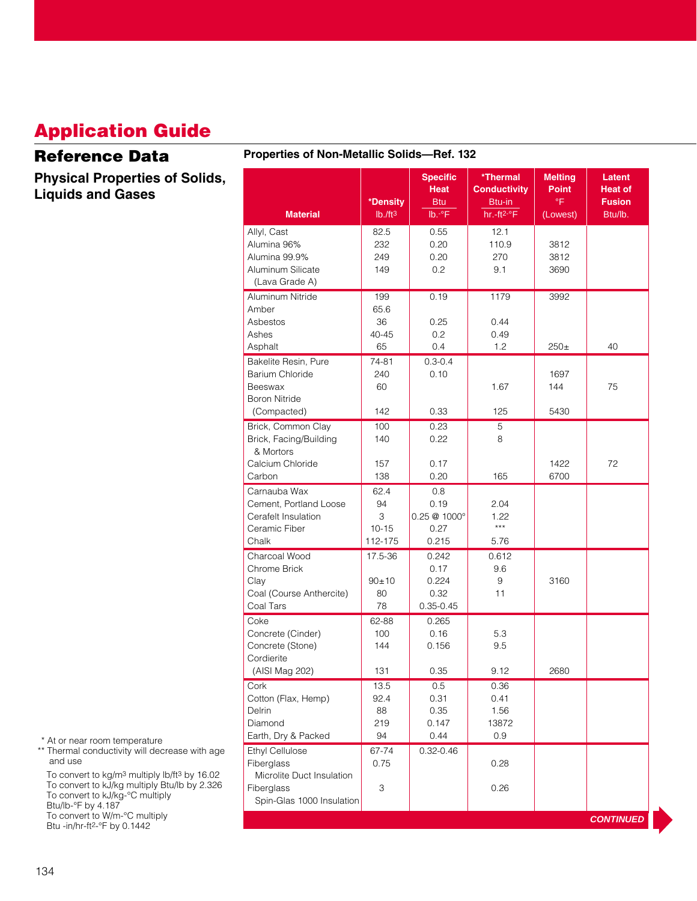## **Application Guide**

#### **Reference Data**

**Physical Properties of Solids, Liquids and Gases**

#### **Properties of Non-Metallic Solids—Ref. 132** Allyl, Cast | 82.5 | 0.55 | 12.1 Alumina 96% 232 0.20 110.9 3812 Alumina 99.9% 249 0.20 270 3812 Aluminum Silicate | 149 | 0.2 | 9.1 | 3690 (Lava Grade A) Aluminum Nitride 199 0.19 1179 3992 Amber 65.6 Asbestos 1 36 0.25 0.44 Ashes 1990-45 0.2 0.49 Asphalt 65 0.4 1.2 250± 40 Bakelite Resin, Pure | 74-81 | 0.3-0.4 Barium Chloride 240 0.10 1697 Beeswax 60 1.67 144± 75 Boron Nitride (Compacted) 142 0.33 125 5430 Brick, Common Clay 100 0.23 5 Brick, Facing/Building | 140 | 0.22 | 8 & Mortors Calcium Chloride | 157 | 0.17 | 1422 | 72<br>Carbon 138 0.20 165 6700 | 12 Carbon 138 0.20 165 6700 Carnauba Wax 62.4 0.8 Cement, Portland Loose 94 0.19 2.04 Cerafelt Insulation 3 0.25 @ 1000° 1.22 Ceramic Fiber 10-15 0.27  $\frac{1}{10^{15}}$  0.27 Chalk 112-175 0.215 5.76 Charcoal Wood 17.5-36 0.242 0.612 Chrome Brick 0.17 9.6 Clay | 90±10 | 0.224 | 9 9 | 3160 Coal (Course Anthercite) 80 0.32 11 Coal Tars 78 0.35-0.45 Coke 62-88 0.265 Concrete (Cinder) 100 0.16 5.3 Concrete (Stone) 144 0.156 9.5 Cordierite (AISI Mag 202) 131 0.35 9.12 2680 Cork 13.5 0.5 0.36 Cotton (Flax, Hemp) 92.4 0.31 0.41 Delrin 88 0.35 1.56 Diamond 219 0.147 13872 Earth, Dry & Packed 94 0.44 0.9 Ethyl Cellulose **67-74** 0.32-0.46 Fiberglass 0.75 0.28 Microlite Duct Insulation Fiberglass 3 0.26 Spin-Glas 1000 Insulation Specific **Thermal Melting Latent** Heat Conductivity Point **Heat of \*Density** Btu Btu-in <sup>°F</sup> **Fusion**<br>B. Ib. <sup>2</sup>F **Fusion** Btu/Ib. **Material** | lb*.l*ft3 | lb.<sup>.。</sup>F | hr.-ft2-°F | (Lowest) | Btu/lb. **CONTINUED**

\* At or near room temperature

\*\* Thermal conductivity will decrease with age and use

To convert to kg/m3 multiply lb/ft3 by 16.02 To convert to kJ/kg multiply Btu/lb by 2.326 To convert to kJ/kg-°C multiply Btu/lb-°F by 4.187 To convert to W/m-°C multiply Btu -in/hr-ft2-°F by 0.1442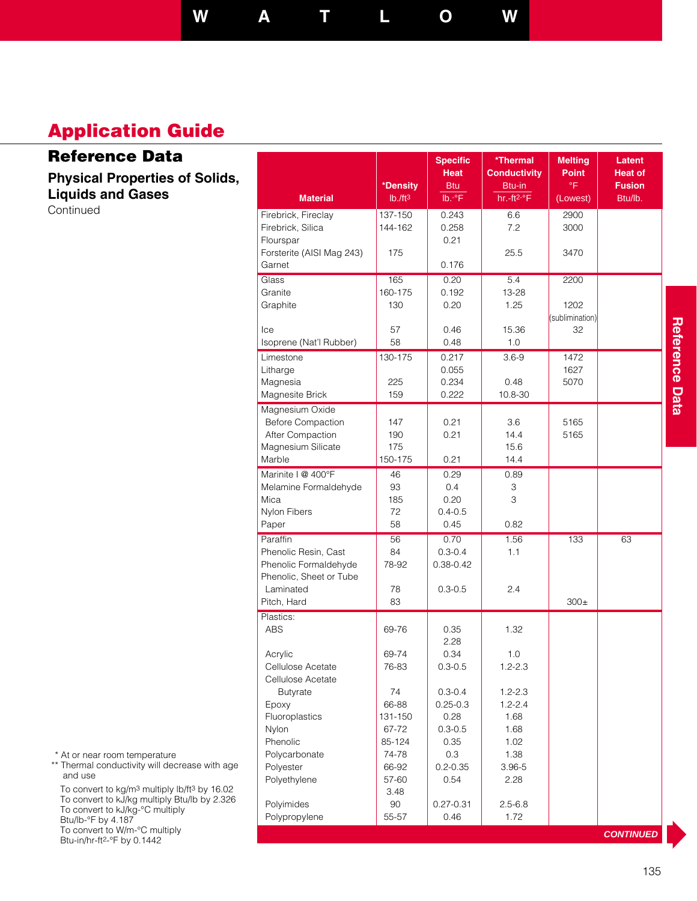**W A T L O W**

Specific **| \*Thermal | Melting | Latent Heat** Conductivity Point Heat of

## **Application Guide**

### **Reference Data**

**Physical Properties of Solids, Liquids and Gases** Continued

|                           | *Density | Btu             | Btu-in      | °F              | <b>Fusion</b>    |                |
|---------------------------|----------|-----------------|-------------|-----------------|------------------|----------------|
| <b>Material</b>           | Ib./ft3  | $Ib.-^{\circ}F$ | hr.-ft2-°F  | (Lowest)        | Btu/lb.          |                |
| Firebrick, Fireclay       | 137-150  | 0.243           | 6.6         | 2900            |                  |                |
| Firebrick, Silica         | 144-162  | 0.258           | 7.2         | 3000            |                  |                |
| Flourspar                 |          | 0.21            |             |                 |                  |                |
| Forsterite (AISI Mag 243) | 175      |                 | 25.5        | 3470            |                  |                |
| Garnet                    |          | 0.176           |             |                 |                  |                |
| Glass                     | 165      | 0.20            | 5.4         | 2200            |                  |                |
| Granite                   | 160-175  | 0.192           | 13-28       |                 |                  |                |
| Graphite                  | 130      | 0.20            | 1.25        | 1202            |                  |                |
|                           |          |                 |             | (sublimination) |                  |                |
| Ice                       | 57       | 0.46            | 15.36       | 32              |                  |                |
| Isoprene (Nat'l Rubber)   | 58       | 0.48            | 1.0         |                 |                  |                |
| Limestone                 | 130-175  | 0.217           | $3.6 - 9$   | 1472            |                  | nelerence Dala |
| Litharge                  |          | 0.055           |             | 1627            |                  |                |
| Magnesia                  | 225      | 0.234           | 0.48        | 5070            |                  |                |
| Magnesite Brick           | 159      | 0.222           | 10.8-30     |                 |                  |                |
| Magnesium Oxide           |          |                 |             |                 |                  |                |
| <b>Before Compaction</b>  | 147      | 0.21            | 3.6         | 5165            |                  |                |
| After Compaction          | 190      | 0.21            | 14.4        | 5165            |                  |                |
| Magnesium Silicate        | 175      |                 | 15.6        |                 |                  |                |
| Marble                    | 150-175  | 0.21            | 14.4        |                 |                  |                |
| Marinite   @ 400°F        | 46       | 0.29            | 0.89        |                 |                  |                |
| Melamine Formaldehyde     | 93       | 0.4             | 3           |                 |                  |                |
| Mica                      | 185      | 0.20            | 3           |                 |                  |                |
| Nylon Fibers              | 72       | $0.4 - 0.5$     |             |                 |                  |                |
| Paper                     | 58       | 0.45            | 0.82        |                 |                  |                |
| Paraffin                  | 56       | 0.70            | 1.56        | 133             | 63               |                |
| Phenolic Resin, Cast      | 84       | $0.3 - 0.4$     | 1.1         |                 |                  |                |
| Phenolic Formaldehyde     | 78-92    | $0.38 - 0.42$   |             |                 |                  |                |
| Phenolic, Sheet or Tube   |          |                 |             |                 |                  |                |
| Laminated                 | 78       | $0.3 - 0.5$     | 2.4         |                 |                  |                |
| Pitch, Hard               | 83       |                 |             | $300\pm$        |                  |                |
| Plastics:                 |          |                 |             |                 |                  |                |
| <b>ABS</b>                | 69-76    | 0.35            | 1.32        |                 |                  |                |
|                           |          | 2.28            |             |                 |                  |                |
| Acrylic                   | 69-74    | 0.34            | 1.0         |                 |                  |                |
| Cellulose Acetate         | 76-83    | $0.3 - 0.5$     | $1.2 - 2.3$ |                 |                  |                |
| Cellulose Acetate         |          |                 |             |                 |                  |                |
| <b>Butyrate</b>           | 74       | $0.3 - 0.4$     | $1.2 - 2.3$ |                 |                  |                |
| Epoxy                     | 66-88    | $0.25 - 0.3$    | 1.2-2.4     |                 |                  |                |
| Fluoroplastics            | 131-150  | 0.28            | 1.68        |                 |                  |                |
| Nylon                     | 67-72    | $0.3 - 0.5$     | 1.68        |                 |                  |                |
| Phenolic                  | 85-124   | 0.35            | 1.02        |                 |                  |                |
| Polycarbonate             | 74-78    | 0.3             | 1.38        |                 |                  |                |
| Polyester                 | 66-92    | $0.2 - 0.35$    | $3.96 - 5$  |                 |                  |                |
| Polyethylene              | 57-60    | 0.54            | 2.28        |                 |                  |                |
|                           | 3.48     |                 |             |                 |                  |                |
| Polyimides                | 90       | $0.27 - 0.31$   | $2.5 - 6.8$ |                 |                  |                |
| Polypropylene             | 55-57    | 0.46            | 1.72        |                 |                  |                |
|                           |          |                 |             |                 | <b>CONTINUED</b> |                |

\* At or near room temperature

\*\* Thermal conductivity will decrease with age and use

To convert to kg/m3 multiply lb/ft3 by 16.02 To convert to kJ/kg multiply Btu/lb by 2.326 To convert to kJ/kg-°C multiply Btu/lb-°F by 4.187 To convert to W/m-°C multiply

Btu-in/hr-ft2-°F by 0.1442